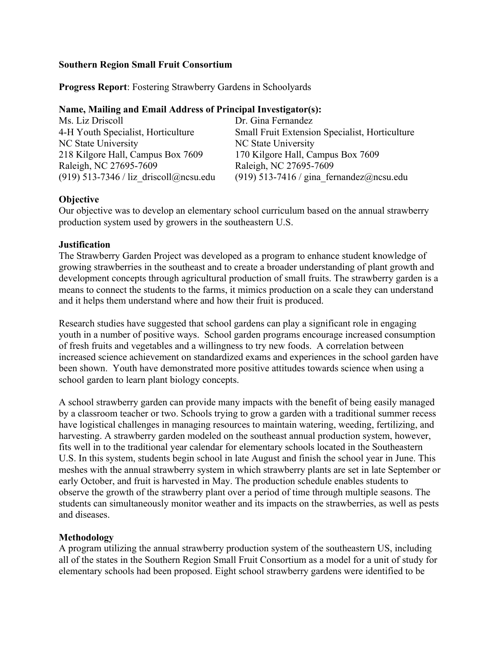#### **Southern Region Small Fruit Consortium**

**Progress Report**: Fostering Strawberry Gardens in Schoolyards

#### **Name, Mailing and Email Address of Principal Investigator(s):**

| Ms. Liz Driscoll                         | Dr. Gina Fernandez                             |
|------------------------------------------|------------------------------------------------|
| 4-H Youth Specialist, Horticulture       | Small Fruit Extension Specialist, Horticulture |
| NC State University                      | NC State University                            |
| 218 Kilgore Hall, Campus Box 7609        | 170 Kilgore Hall, Campus Box 7609              |
| Raleigh, NC 27695-7609                   | Raleigh, NC 27695-7609                         |
| $(919)$ 513-7346 / liz driscoll@ncsu.edu | (919) 513-7416 / gina fernandez@ncsu.edu       |

# **Objective**

Our objective was to develop an elementary school curriculum based on the annual strawberry production system used by growers in the southeastern U.S.

### **Justification**

The Strawberry Garden Project was developed as a program to enhance student knowledge of growing strawberries in the southeast and to create a broader understanding of plant growth and development concepts through agricultural production of small fruits. The strawberry garden is a means to connect the students to the farms, it mimics production on a scale they can understand and it helps them understand where and how their fruit is produced.

Research studies have suggested that school gardens can play a significant role in engaging youth in a number of positive ways. School garden programs encourage increased consumption of fresh fruits and vegetables and a willingness to try new foods. A correlation between increased science achievement on standardized exams and experiences in the school garden have been shown. Youth have demonstrated more positive attitudes towards science when using a school garden to learn plant biology concepts.

A school strawberry garden can provide many impacts with the benefit of being easily managed by a classroom teacher or two. Schools trying to grow a garden with a traditional summer recess have logistical challenges in managing resources to maintain watering, weeding, fertilizing, and harvesting. A strawberry garden modeled on the southeast annual production system, however, fits well in to the traditional year calendar for elementary schools located in the Southeastern U.S. In this system, students begin school in late August and finish the school year in June. This meshes with the annual strawberry system in which strawberry plants are set in late September or early October, and fruit is harvested in May. The production schedule enables students to observe the growth of the strawberry plant over a period of time through multiple seasons. The students can simultaneously monitor weather and its impacts on the strawberries, as well as pests and diseases.

# **Methodology**

A program utilizing the annual strawberry production system of the southeastern US, including all of the states in the Southern Region Small Fruit Consortium as a model for a unit of study for elementary schools had been proposed. Eight school strawberry gardens were identified to be